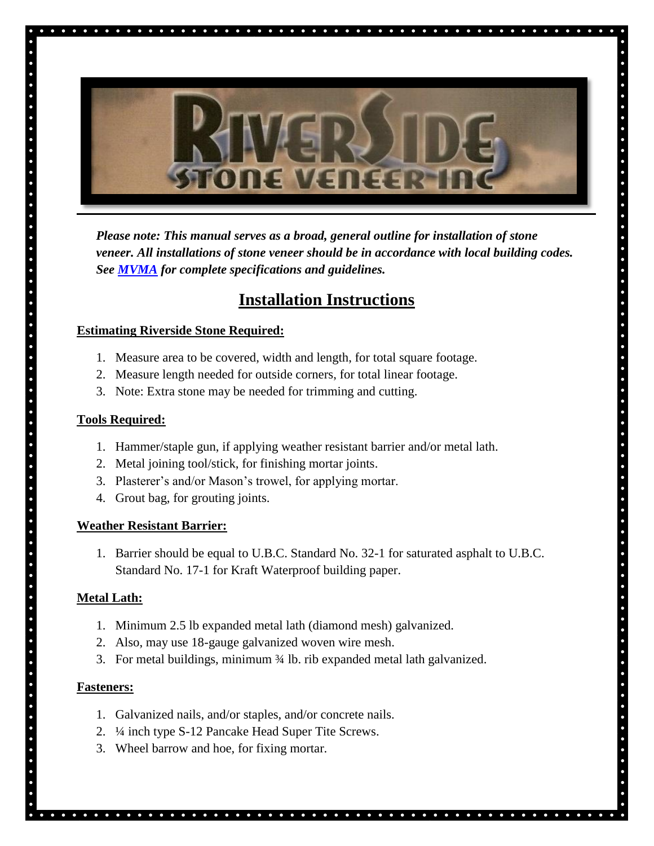

*Please note: This manual serves as a broad, general outline for installation of stone veneer. All installations of stone veneer should be in accordance with local building codes. See [MVMA](http://ncma-br.org/pdfs/masterlibrary/MVMA%20Installation%20Guide%204th%20Edition%20web.pdf) for complete specifications and guidelines.* 

¢  $\bullet$  $\bullet$ 

## **Installation Instructions**

#### **Estimating Riverside Stone Required:**

- 1. Measure area to be covered, width and length, for total square footage.
- 2. Measure length needed for outside corners, for total linear footage.
- 3. Note: Extra stone may be needed for trimming and cutting.

 $\begin{array}{cccccccccccccc} \bullet & \bullet & \bullet & \bullet & \bullet & \bullet \end{array}$ 

#### **Tools Required:**

- 1. Hammer/staple gun, if applying weather resistant barrier and/or metal lath.
- 2. Metal joining tool/stick, for finishing mortar joints.
- 3. Plasterer's and/or Mason's trowel, for applying mortar.
- 4. Grout bag, for grouting joints.

#### **Weather Resistant Barrier:**

1. Barrier should be equal to U.B.C. Standard No. 32-1 for saturated asphalt to U.B.C. Standard No. 17-1 for Kraft Waterproof building paper.

#### **Metal Lath:**

- 1. Minimum 2.5 lb expanded metal lath (diamond mesh) galvanized.
- 2. Also, may use 18-gauge galvanized woven wire mesh.
- 3. For metal buildings, minimum ¾ lb. rib expanded metal lath galvanized.

#### **Fasteners:**

- 1. Galvanized nails, and/or staples, and/or concrete nails.
- 2. ¼ inch type S-12 Pancake Head Super Tite Screws.
- 3. Wheel barrow and hoe, for fixing mortar.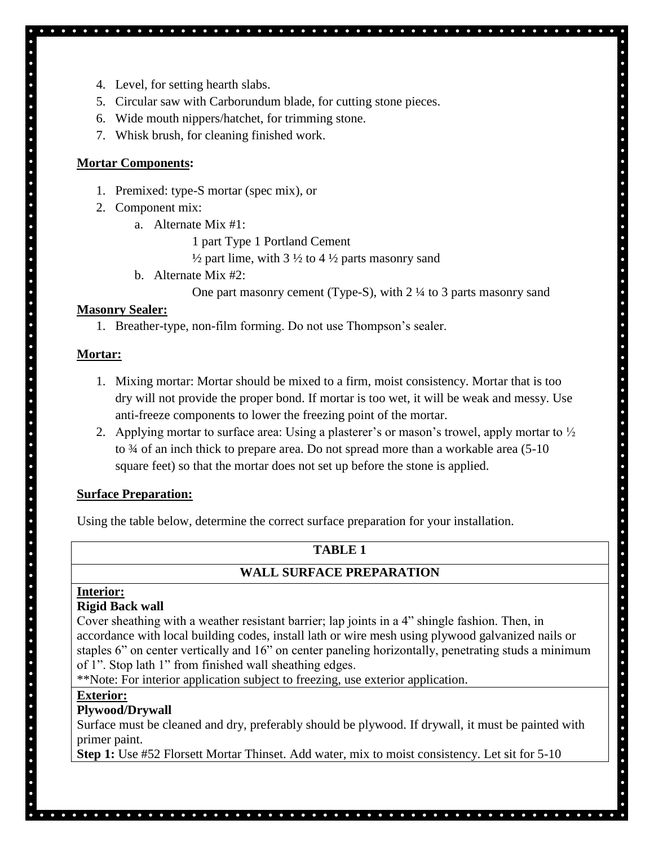- 4. Level, for setting hearth slabs.
- 5. Circular saw with Carborundum blade, for cutting stone pieces.
- 6. Wide mouth nippers/hatchet, for trimming stone.
- 7. Whisk brush, for cleaning finished work.

#### **Mortar Components:**

- 1. Premixed: type-S mortar (spec mix), or
- 2. Component mix:
	- a. Alternate Mix #1:
		- 1 part Type 1 Portland Cement
		- $\frac{1}{2}$  part lime, with 3  $\frac{1}{2}$  to 4  $\frac{1}{2}$  parts masonry sand
	- b. Alternate Mix #2:
		- One part masonry cement (Type-S), with 2 ¼ to 3 parts masonry sand

#### **Masonry Sealer:**

1. Breather-type, non-film forming. Do not use Thompson's sealer.

#### **Mortar:**

- 1. Mixing mortar: Mortar should be mixed to a firm, moist consistency. Mortar that is too dry will not provide the proper bond. If mortar is too wet, it will be weak and messy. Use anti-freeze components to lower the freezing point of the mortar.
- 2. Applying mortar to surface area: Using a plasterer's or mason's trowel, apply mortar to  $\frac{1}{2}$ to ¾ of an inch thick to prepare area. Do not spread more than a workable area (5-10 square feet) so that the mortar does not set up before the stone is applied.

#### **Surface Preparation:**

Using the table below, determine the correct surface preparation for your installation.

## **TABLE 1**

## **WALL SURFACE PREPARATION**

## **Interior:**

#### **Rigid Back wall**

Cover sheathing with a weather resistant barrier; lap joints in a 4" shingle fashion. Then, in accordance with local building codes, install lath or wire mesh using plywood galvanized nails or staples 6" on center vertically and 16" on center paneling horizontally, penetrating studs a minimum of 1". Stop lath 1" from finished wall sheathing edges.

. . . . . . . . . . . . . . . . . . .

\*\*Note: For interior application subject to freezing, use exterior application.

#### **Exterior:**

## **Plywood/Drywall**

Surface must be cleaned and dry, preferably should be plywood. If drywall, it must be painted with primer paint.

**Step 1:** Use #52 Florsett Mortar Thinset. Add water, mix to moist consistency. Let sit for 5-10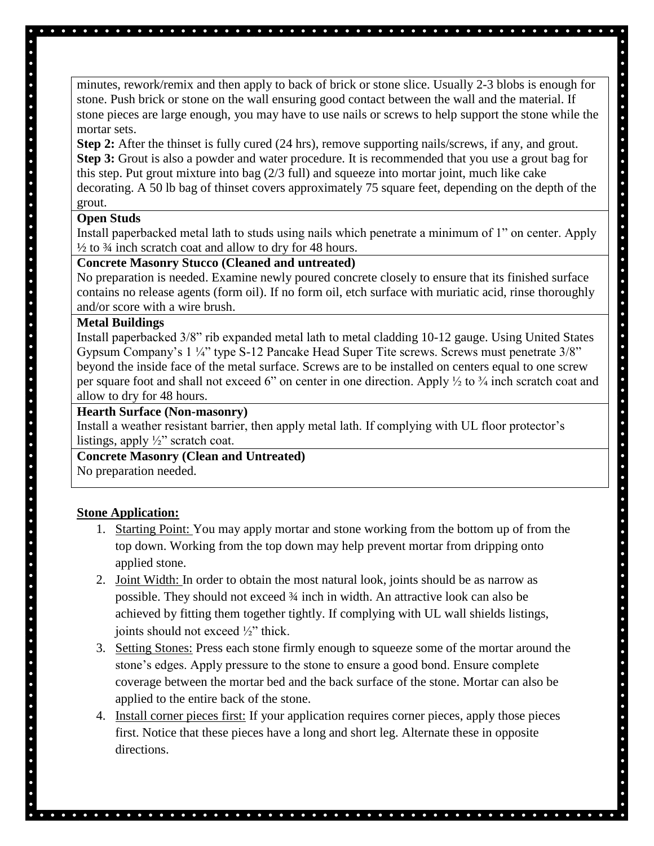minutes, rework/remix and then apply to back of brick or stone slice. Usually 2-3 blobs is enough for stone. Push brick or stone on the wall ensuring good contact between the wall and the material. If stone pieces are large enough, you may have to use nails or screws to help support the stone while the mortar sets.

**Step 2:** After the thinset is fully cured (24 hrs), remove supporting nails/screws, if any, and grout. **Step 3:** Grout is also a powder and water procedure. It is recommended that you use a grout bag for this step. Put grout mixture into bag (2/3 full) and squeeze into mortar joint, much like cake decorating. A 50 lb bag of thinset covers approximately 75 square feet, depending on the depth of the grout.

#### **Open Studs**

Install paperbacked metal lath to studs using nails which penetrate a minimum of 1" on center. Apply  $\frac{1}{2}$  to  $\frac{3}{4}$  inch scratch coat and allow to dry for 48 hours.

#### **Concrete Masonry Stucco (Cleaned and untreated)**

No preparation is needed. Examine newly poured concrete closely to ensure that its finished surface contains no release agents (form oil). If no form oil, etch surface with muriatic acid, rinse thoroughly and/or score with a wire brush.

#### **Metal Buildings**

Install paperbacked 3/8" rib expanded metal lath to metal cladding 10-12 gauge. Using United States Gypsum Company's 1 ¼" type S-12 Pancake Head Super Tite screws. Screws must penetrate 3/8" beyond the inside face of the metal surface. Screws are to be installed on centers equal to one screw per square foot and shall not exceed 6" on center in one direction. Apply ½ to ¾ inch scratch coat and allow to dry for 48 hours.

#### **Hearth Surface (Non-masonry)**

Install a weather resistant barrier, then apply metal lath. If complying with UL floor protector's listings, apply  $\frac{1}{2}$ " scratch coat.

# **Concrete Masonry (Clean and Untreated)**

No preparation needed.

## **Stone Application:**

- 1. Starting Point: You may apply mortar and stone working from the bottom up of from the top down. Working from the top down may help prevent mortar from dripping onto applied stone.
- 2. Joint Width: In order to obtain the most natural look, joints should be as narrow as possible. They should not exceed ¾ inch in width. An attractive look can also be achieved by fitting them together tightly. If complying with UL wall shields listings, joints should not exceed ½" thick.
- 3. Setting Stones: Press each stone firmly enough to squeeze some of the mortar around the stone's edges. Apply pressure to the stone to ensure a good bond. Ensure complete coverage between the mortar bed and the back surface of the stone. Mortar can also be applied to the entire back of the stone.
- 4. Install corner pieces first: If your application requires corner pieces, apply those pieces first. Notice that these pieces have a long and short leg. Alternate these in opposite directions.